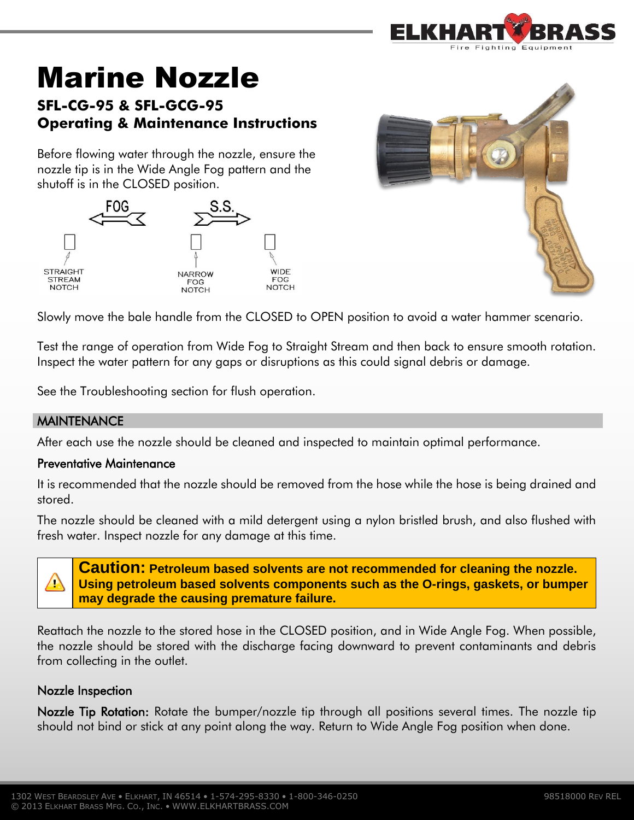

# Marine Nozzle

# **SFL-CG-95 & SFL-GCG-95 Operating & Maintenance Instructions**

Before flowing water through the nozzle, ensure the nozzle tip is in the Wide Angle Fog pattern and the shutoff is in the CLOSED position.





Slowly move the bale handle from the CLOSED to OPEN position to avoid a water hammer scenario.

Test the range of operation from Wide Fog to Straight Stream and then back to ensure smooth rotation. Inspect the water pattern for any gaps or disruptions as this could signal debris or damage.

See the Troubleshooting section for flush operation.

#### MAINTENANCE

After each use the nozzle should be cleaned and inspected to maintain optimal performance.

#### Preventative Maintenance

It is recommended that the nozzle should be removed from the hose while the hose is being drained and stored.

The nozzle should be cleaned with a mild detergent using a nylon bristled brush, and also flushed with fresh water. Inspect nozzle for any damage at this time.

 $\Delta$ 

**Caution: Petroleum based solvents are not recommended for cleaning the nozzle. Using petroleum based solvents components such as the O-rings, gaskets, or bumper may degrade the causing premature failure.**

Reattach the nozzle to the stored hose in the CLOSED position, and in Wide Angle Fog. When possible, the nozzle should be stored with the discharge facing downward to prevent contaminants and debris from collecting in the outlet.

#### Nozzle Inspection

Nozzle Tip Rotation: Rotate the bumper/nozzle tip through all positions several times. The nozzle tip should not bind or stick at any point along the way. Return to Wide Angle Fog position when done.